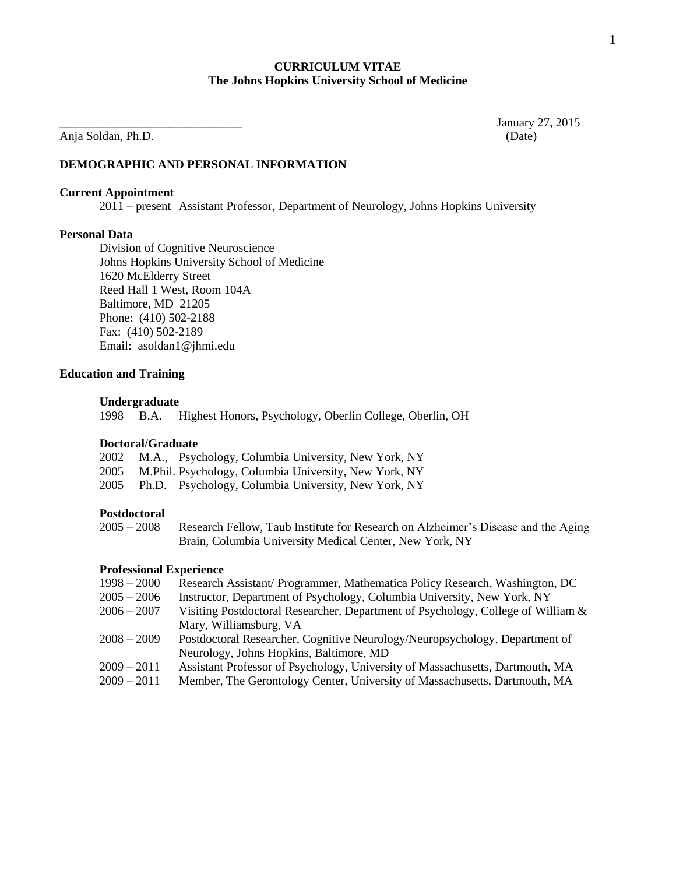### **CURRICULUM VITAE The Johns Hopkins University School of Medicine**

Anja Soldan, Ph.D. (Date)

January 27, 2015

# **DEMOGRAPHIC AND PERSONAL INFORMATION**

### **Current Appointment**

2011 – present Assistant Professor, Department of Neurology, Johns Hopkins University

### **Personal Data**

Division of Cognitive Neuroscience Johns Hopkins University School of Medicine 1620 McElderry Street Reed Hall 1 West, Room 104A Baltimore, MD 21205 Phone: (410) 502-2188 Fax: (410) 502-2189 Email: asoldan1@jhmi.edu

### **Education and Training**

#### **Undergraduate**

1998 B.A. Highest Honors, Psychology, Oberlin College, Oberlin, OH

# **Doctoral/Graduate**

|  | 2002 M.A., Psychology, Columbia University, New York, NY   |
|--|------------------------------------------------------------|
|  | 2005 M.Phil. Psychology, Columbia University, New York, NY |
|  | 2005 Ph.D. Psychology, Columbia University, New York, NY   |

### **Postdoctoral**

### **Professional Experience**

- 1998 2000 Research Assistant/ Programmer, Mathematica Policy Research, Washington, DC
- 2005 2006 Instructor, Department of Psychology, Columbia University, New York, NY
- 2006 2007 Visiting Postdoctoral Researcher, Department of Psychology, College of William & Mary, Williamsburg, VA
- 2008 2009 Postdoctoral Researcher, Cognitive Neurology/Neuropsychology, Department of Neurology, Johns Hopkins, Baltimore, MD
- 2009 2011 Assistant Professor of Psychology, University of Massachusetts, Dartmouth, MA
- 2009 2011 Member, The Gerontology Center, University of Massachusetts, Dartmouth, MA

<sup>2005 –</sup> 2008 Research Fellow, Taub Institute for Research on Alzheimer's Disease and the Aging Brain, Columbia University Medical Center, New York, NY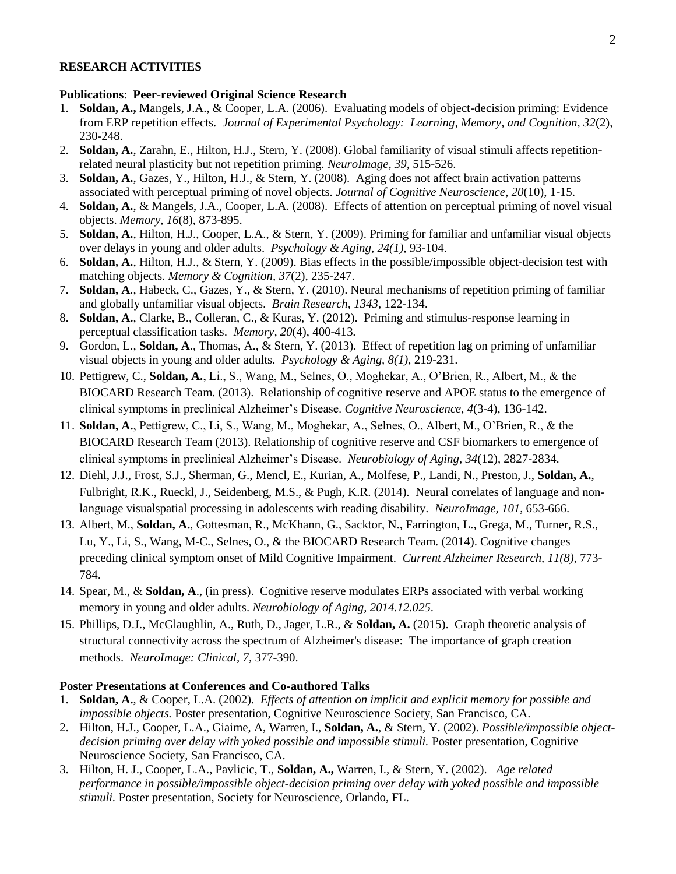# **RESEARCH ACTIVITIES**

# **Publications**: **Peer-reviewed Original Science Research**

- 1. **Soldan, A.,** Mangels, J.A., & Cooper, L.A. (2006). Evaluating models of object-decision priming: Evidence from ERP repetition effects. *Journal of Experimental Psychology: Learning, Memory, and Cognition, 32*(2), 230-248.
- 2. **Soldan, A.**, Zarahn, E., Hilton, H.J., Stern, Y. (2008). Global familiarity of visual stimuli affects repetitionrelated neural plasticity but not repetition priming. *NeuroImage, 39,* 515-526.
- 3. **Soldan, A.**, Gazes, Y., Hilton, H.J., & Stern, Y. (2008). Aging does not affect brain activation patterns associated with perceptual priming of novel objects. *Journal of Cognitive Neuroscience, 20*(10), 1-15.
- 4. **Soldan, A.**, & Mangels, J.A., Cooper, L.A. (2008). Effects of attention on perceptual priming of novel visual objects. *Memory, 16*(8), 873-895.
- 5. **Soldan, A.**, Hilton, H.J., Cooper, L.A., & Stern, Y. (2009). Priming for familiar and unfamiliar visual objects over delays in young and older adults. *Psychology & Aging, 24(1)*, 93-104.
- 6. **Soldan, A.**, Hilton, H.J., & Stern, Y. (2009). Bias effects in the possible/impossible object-decision test with matching objects*. Memory & Cognition, 37*(2), 235-247.
- 7. **Soldan, A**., Habeck, C., Gazes, Y., & Stern, Y. (2010). Neural mechanisms of repetition priming of familiar and globally unfamiliar visual objects. *Brain Research, 1343,* 122-134.
- 8. **Soldan, A.**, Clarke, B., Colleran, C., & Kuras, Y. (2012). Priming and stimulus-response learning in perceptual classification tasks. *Memory, 20*(4), 400-413*.*
- 9. Gordon, L., **Soldan, A**., Thomas, A., & Stern, Y. (2013). Effect of repetition lag on priming of unfamiliar visual objects in young and older adults. *Psychology & Aging, 8(1)*, 219-231.
- 10. Pettigrew, C., **Soldan, A.**, Li., S., Wang, M., Selnes, O., Moghekar, A., O'Brien, R., Albert, M., & the BIOCARD Research Team. (2013). Relationship of cognitive reserve and APOE status to the emergence of clinical symptoms in preclinical Alzheimer's Disease. *Cognitive Neuroscience, 4*(3-4), 136-142.
- 11. **Soldan, A.**, Pettigrew, C., Li, S., Wang, M., Moghekar, A., Selnes, O., Albert, M., O'Brien, R., & the BIOCARD Research Team (2013). Relationship of cognitive reserve and CSF biomarkers to emergence of clinical symptoms in preclinical Alzheimer's Disease. *Neurobiology of Aging, 34*(12), 2827-2834.
- 12. Diehl, J.J., Frost, S.J., Sherman, G., Mencl, E., Kurian, A., Molfese, P., Landi, N., Preston, J., **Soldan, A.**, Fulbright, R.K., Rueckl, J., Seidenberg, M.S., & Pugh, K.R. (2014). Neural correlates of language and nonlanguage visualspatial processing in adolescents with reading disability. *NeuroImage, 101*, 653-666.
- 13. Albert, M., **Soldan, A.**, Gottesman, R., McKhann, G., Sacktor, N., Farrington, L., Grega, M., Turner, R.S., Lu, Y., Li, S., Wang, M-C., Selnes, O., & the BIOCARD Research Team. (2014). Cognitive changes preceding clinical symptom onset of Mild Cognitive Impairment. *Current Alzheimer Research, 11(8),* 773- 784.
- 14. Spear, M., & **Soldan, A**., (in press). Cognitive reserve modulates ERPs associated with verbal working memory in young and older adults. *Neurobiology of Aging, 2014.12.025*.
- 15. Phillips, D.J., McGlaughlin, A., Ruth, D., Jager, L.R., & **Soldan, A.** (2015). Graph theoretic analysis of structural connectivity across the spectrum of Alzheimer's disease: The importance of graph creation methods. *NeuroImage: Clinical, 7,* 377-390.

## **Poster Presentations at Conferences and Co-authored Talks**

- 1. **Soldan, A.**, & Cooper, L.A. (2002). *Effects of attention on implicit and explicit memory for possible and impossible objects.* Poster presentation, Cognitive Neuroscience Society, San Francisco, CA.
- 2. Hilton, H.J., Cooper, L.A., Giaime, A, Warren, I., **Soldan, A.**, & Stern, Y. (2002). *Possible/impossible objectdecision priming over delay with yoked possible and impossible stimuli.* Poster presentation, Cognitive Neuroscience Society, San Francisco, CA.
- 3. Hilton, H. J., Cooper, L.A., Pavlicic, T., **Soldan, A.,** Warren, I., & Stern, Y. (2002). *Age related performance in possible/impossible object-decision priming over delay with yoked possible and impossible stimuli.* Poster presentation, Society for Neuroscience, Orlando, FL.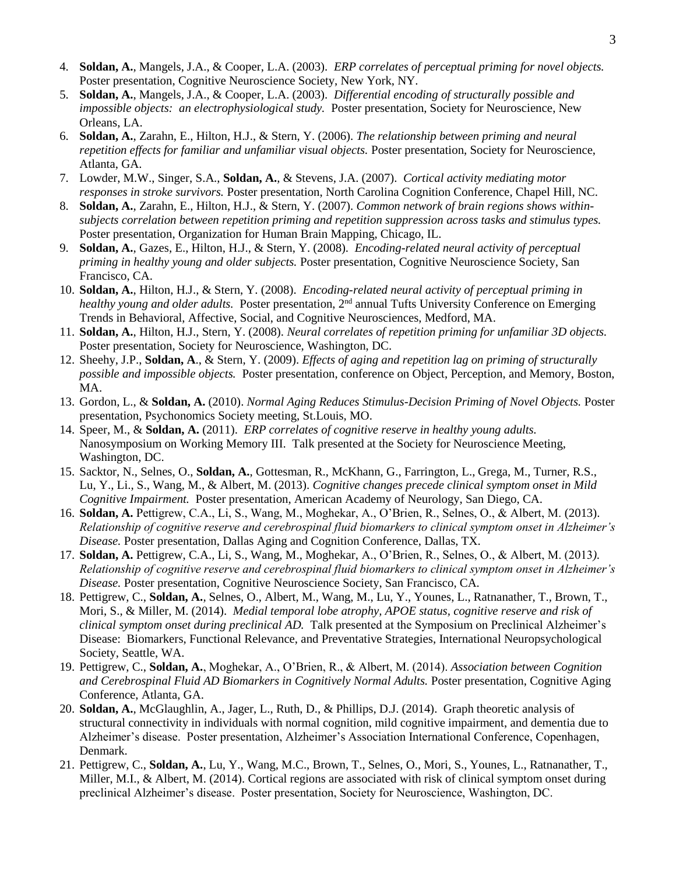- 4. **Soldan, A.**, Mangels, J.A., & Cooper, L.A. (2003). *ERP correlates of perceptual priming for novel objects.*  Poster presentation, Cognitive Neuroscience Society, New York, NY.
- 5. **Soldan, A.**, Mangels, J.A., & Cooper, L.A. (2003). *Differential encoding of structurally possible and impossible objects: an electrophysiological study.* Poster presentation, Society for Neuroscience, New Orleans, LA.
- 6. **Soldan, A.**, Zarahn, E., Hilton, H.J., & Stern, Y. (2006). *The relationship between priming and neural repetition effects for familiar and unfamiliar visual objects.* Poster presentation, Society for Neuroscience, Atlanta, GA.
- 7. Lowder, M.W., Singer, S.A., **Soldan, A.**, & Stevens, J.A. (2007). *Cortical activity mediating motor responses in stroke survivors.* Poster presentation, North Carolina Cognition Conference, Chapel Hill, NC.
- 8. **Soldan, A.**, Zarahn, E., Hilton, H.J., & Stern, Y. (2007). *Common network of brain regions shows withinsubjects correlation between repetition priming and repetition suppression across tasks and stimulus types.* Poster presentation, Organization for Human Brain Mapping, Chicago, IL.
- 9. **Soldan, A.**, Gazes, E., Hilton, H.J., & Stern, Y. (2008). *Encoding-related neural activity of perceptual priming in healthy young and older subjects.* Poster presentation, Cognitive Neuroscience Society, San Francisco, CA.
- 10. **Soldan, A.**, Hilton, H.J., & Stern, Y. (2008). *Encoding-related neural activity of perceptual priming in healthy young and older adults.* Poster presentation, 2<sup>nd</sup> annual Tufts University Conference on Emerging Trends in Behavioral, Affective, Social, and Cognitive Neurosciences, Medford, MA.
- 11. **Soldan, A.**, Hilton, H.J., Stern, Y. (2008). *Neural correlates of repetition priming for unfamiliar 3D objects.* Poster presentation, Society for Neuroscience, Washington, DC.
- 12. Sheehy, J.P., **Soldan, A**., & Stern, Y. (2009). *Effects of aging and repetition lag on priming of structurally possible and impossible objects.* Poster presentation, conference on Object, Perception, and Memory, Boston, MA.
- 13. Gordon, L., & **Soldan, A.** (2010). *Normal Aging Reduces Stimulus-Decision Priming of Novel Objects.* Poster presentation, Psychonomics Society meeting, St.Louis, MO.
- 14. Speer, M., & **Soldan, A.** (2011). *ERP correlates of cognitive reserve in healthy young adults.* Nanosymposium on Working Memory III. Talk presented at the Society for Neuroscience Meeting, Washington, DC.
- 15. Sacktor, N., Selnes, O., **Soldan, A.**, Gottesman, R., McKhann, G., Farrington, L., Grega, M., Turner, R.S., Lu, Y., Li., S., Wang, M., & Albert, M. (2013). *Cognitive changes precede clinical symptom onset in Mild Cognitive Impairment.* Poster presentation, American Academy of Neurology, San Diego, CA.
- 16. **Soldan, A.** Pettigrew, C.A., Li, S., Wang, M., Moghekar, A., O'Brien, R., Selnes, O., & Albert, M. (2013). *Relationship of cognitive reserve and cerebrospinal fluid biomarkers to clinical symptom onset in Alzheimer's Disease.* Poster presentation, Dallas Aging and Cognition Conference, Dallas, TX.
- 17. **Soldan, A.** Pettigrew, C.A., Li, S., Wang, M., Moghekar, A., O'Brien, R., Selnes, O., & Albert, M. (2013*). Relationship of cognitive reserve and cerebrospinal fluid biomarkers to clinical symptom onset in Alzheimer's Disease.* Poster presentation, Cognitive Neuroscience Society, San Francisco, CA.
- 18. Pettigrew, C., **Soldan, A.**, Selnes, O., Albert, M., Wang, M., Lu, Y., Younes, L., Ratnanather, T., Brown, T., Mori, S., & Miller, M. (2014). *Medial temporal lobe atrophy, APOE status, cognitive reserve and risk of clinical symptom onset during preclinical AD.* Talk presented at the Symposium on Preclinical Alzheimer's Disease: Biomarkers, Functional Relevance, and Preventative Strategies, International Neuropsychological Society, Seattle, WA.
- 19. Pettigrew, C., **Soldan, A.**, Moghekar, A., O'Brien, R., & Albert, M. (2014). *Association between Cognition and Cerebrospinal Fluid AD Biomarkers in Cognitively Normal Adults.* Poster presentation, Cognitive Aging Conference, Atlanta, GA.
- 20. **Soldan, A.**, McGlaughlin, A., Jager, L., Ruth, D., & Phillips, D.J. (2014). Graph theoretic analysis of structural connectivity in individuals with normal cognition, mild cognitive impairment, and dementia due to Alzheimer's disease. Poster presentation, Alzheimer's Association International Conference, Copenhagen, Denmark.
- 21. Pettigrew, C., **Soldan, A.**, Lu, Y., Wang, M.C., Brown, T., Selnes, O., Mori, S., Younes, L., Ratnanather, T., Miller, M.I., & Albert, M. (2014). Cortical regions are associated with risk of clinical symptom onset during preclinical Alzheimer's disease. Poster presentation, Society for Neuroscience, Washington, DC.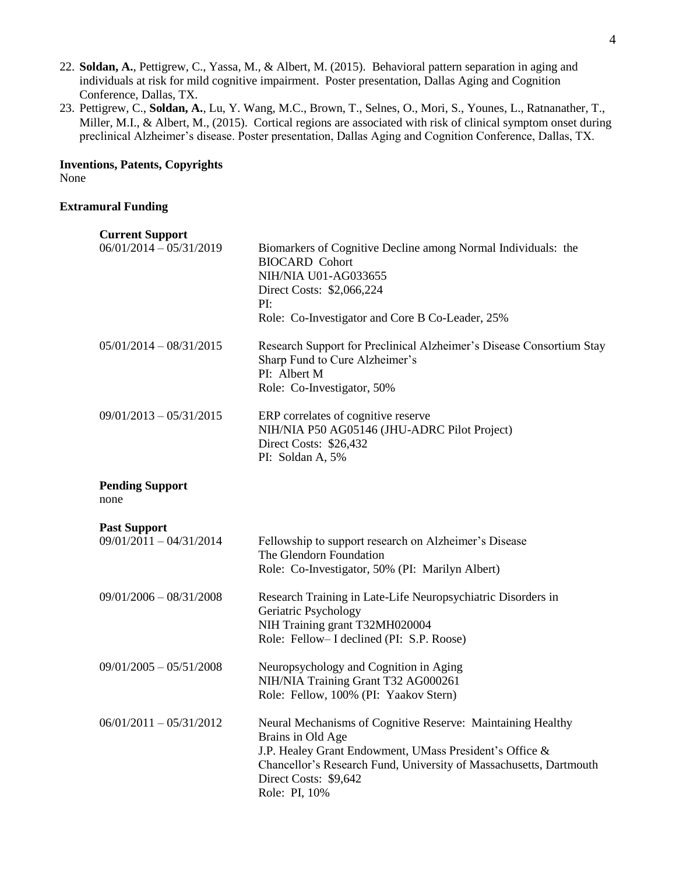- 22. **Soldan, A.**, Pettigrew, C., Yassa, M., & Albert, M. (2015). Behavioral pattern separation in aging and individuals at risk for mild cognitive impairment. Poster presentation, Dallas Aging and Cognition Conference, Dallas, TX.
- 23. Pettigrew, C., **Soldan, A.**, Lu, Y. Wang, M.C., Brown, T., Selnes, O., Mori, S., Younes, L., Ratnanather, T., Miller, M.I., & Albert, M., (2015). Cortical regions are associated with risk of clinical symptom onset during preclinical Alzheimer's disease. Poster presentation, Dallas Aging and Cognition Conference, Dallas, TX.

# **Inventions, Patents, Copyrights** None

# **Extramural Funding**

| <b>Current Support</b>                           |                                                                                                                                                                                                       |
|--------------------------------------------------|-------------------------------------------------------------------------------------------------------------------------------------------------------------------------------------------------------|
| $06/01/2014 - 05/31/2019$                        | Biomarkers of Cognitive Decline among Normal Individuals: the<br><b>BIOCARD Cohort</b><br>NIH/NIA U01-AG033655<br>Direct Costs: \$2,066,224<br>PI:<br>Role: Co-Investigator and Core B Co-Leader, 25% |
| $05/01/2014 - 08/31/2015$                        | Research Support for Preclinical Alzheimer's Disease Consortium Stay<br>Sharp Fund to Cure Alzheimer's<br>PI: Albert M<br>Role: Co-Investigator, 50%                                                  |
| $09/01/2013 - 05/31/2015$                        | ERP correlates of cognitive reserve<br>NIH/NIA P50 AG05146 (JHU-ADRC Pilot Project)<br>Direct Costs: \$26,432<br>PI: Soldan A, 5%                                                                     |
| <b>Pending Support</b><br>none                   |                                                                                                                                                                                                       |
| <b>Past Support</b><br>$09/01/2011 - 04/31/2014$ | Fellowship to support research on Alzheimer's Disease<br>The Glendorn Foundation<br>Role: Co-Investigator, 50% (PI: Marilyn Albert)                                                                   |
| $09/01/2006 - 08/31/2008$                        | Research Training in Late-Life Neuropsychiatric Disorders in<br>Geriatric Psychology<br>NIH Training grant T32MH020004<br>Role: Fellow-I declined (PI: S.P. Roose)                                    |
| $09/01/2005 - 05/51/2008$                        | Neuropsychology and Cognition in Aging                                                                                                                                                                |
|                                                  | NIH/NIA Training Grant T32 AG000261<br>Role: Fellow, 100% (PI: Yaakov Stern)                                                                                                                          |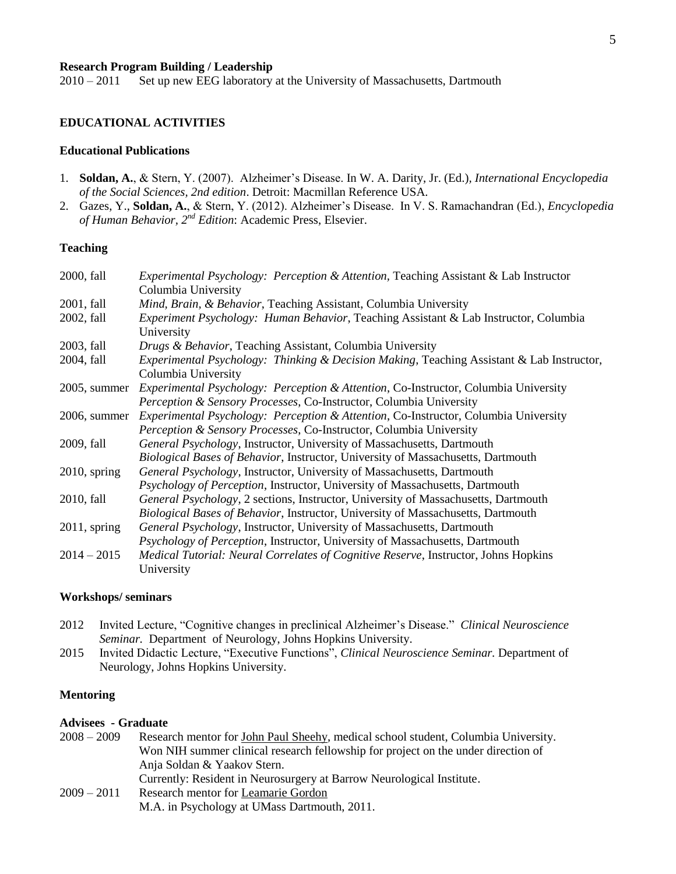# **Research Program Building / Leadership**

2010 – 2011 Set up new EEG laboratory at the University of Massachusetts, Dartmouth

## **EDUCATIONAL ACTIVITIES**

#### **Educational Publications**

- 1. **Soldan, A.**, & Stern, Y. (2007). Alzheimer's Disease. In W. A. Darity, Jr. (Ed.)*, International Encyclopedia of the Social Sciences, 2nd edition*. Detroit: Macmillan Reference USA.
- 2. Gazes, Y., **Soldan, A.**, & Stern, Y. (2012). Alzheimer's Disease. In V. S. Ramachandran (Ed.), *Encyclopedia of Human Behavior, 2nd Edition*: Academic Press, Elsevier.

# **Teaching**

| 2000, fall      | <i>Experimental Psychology: Perception &amp; Attention, Teaching Assistant &amp; Lab Instructor</i>              |
|-----------------|------------------------------------------------------------------------------------------------------------------|
|                 | Columbia University                                                                                              |
| 2001, fall      | Mind, Brain, & Behavior, Teaching Assistant, Columbia University                                                 |
| 2002, fall      | Experiment Psychology: Human Behavior, Teaching Assistant & Lab Instructor, Columbia<br>University               |
| 2003, fall      | Drugs & Behavior, Teaching Assistant, Columbia University                                                        |
| 2004, fall      | Experimental Psychology: Thinking & Decision Making, Teaching Assistant & Lab Instructor,<br>Columbia University |
| 2005, summer    | <i>Experimental Psychology: Perception &amp; Attention, Co-Instructor, Columbia University</i>                   |
|                 | Perception & Sensory Processes, Co-Instructor, Columbia University                                               |
| 2006, summer    | Experimental Psychology: Perception & Attention, Co-Instructor, Columbia University                              |
|                 | Perception & Sensory Processes, Co-Instructor, Columbia University                                               |
| 2009, fall      | General Psychology, Instructor, University of Massachusetts, Dartmouth                                           |
|                 | Biological Bases of Behavior, Instructor, University of Massachusetts, Dartmouth                                 |
| $2010$ , spring | General Psychology, Instructor, University of Massachusetts, Dartmouth                                           |
|                 | Psychology of Perception, Instructor, University of Massachusetts, Dartmouth                                     |
| 2010, fall      | General Psychology, 2 sections, Instructor, University of Massachusetts, Dartmouth                               |
|                 | Biological Bases of Behavior, Instructor, University of Massachusetts, Dartmouth                                 |
| $2011$ , spring | General Psychology, Instructor, University of Massachusetts, Dartmouth                                           |
|                 | Psychology of Perception, Instructor, University of Massachusetts, Dartmouth                                     |
| $2014 - 2015$   | <i>Medical Tutorial: Neural Correlates of Cognitive Reserve, Instructor, Johns Hopkins</i>                       |
|                 | University                                                                                                       |

### **Workshops/ seminars**

- 2012 Invited Lecture, "Cognitive changes in preclinical Alzheimer's Disease." *Clinical Neuroscience Seminar.* Department of Neurology, Johns Hopkins University.
- 2015 Invited Didactic Lecture, "Executive Functions", *Clinical Neuroscience Seminar.* Department of Neurology, Johns Hopkins University.

#### **Mentoring**

### **Advisees - Graduate**

| $2008 - 2009$ | Research mentor for John Paul Sheehy, medical school student, Columbia University. |
|---------------|------------------------------------------------------------------------------------|
|               | Won NIH summer clinical research fellowship for project on the under direction of  |
|               | Anja Soldan & Yaakov Stern.                                                        |
|               | Currently: Resident in Neurosurgery at Barrow Neurological Institute.              |
| $2009 - 2011$ | Research mentor for Leamarie Gordon                                                |
|               | M.A. in Psychology at UMass Dartmouth, 2011.                                       |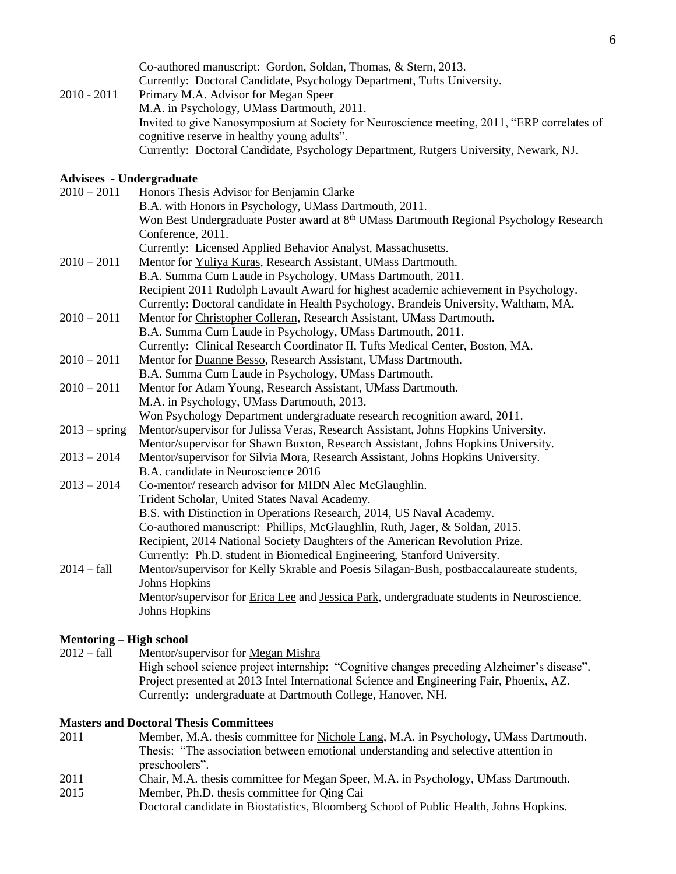|               | Co-authored manuscript: Gordon, Soldan, Thomas, & Stern, 2013.                              |
|---------------|---------------------------------------------------------------------------------------------|
|               | Currently: Doctoral Candidate, Psychology Department, Tufts University.                     |
| $2010 - 2011$ | Primary M.A. Advisor for Megan Speer                                                        |
|               | M.A. in Psychology, UMass Dartmouth, 2011.                                                  |
|               | Invited to give Nanosymposium at Society for Neuroscience meeting, 2011, "ERP correlates of |
|               | cognitive reserve in healthy young adults".                                                 |
|               | Currently: Doctoral Candidate, Psychology Department, Rutgers University, Newark, NJ.       |

## **Advisees - Undergraduate**

| $2010 - 2011$   | Honors Thesis Advisor for Benjamin Clarke                                                           |
|-----------------|-----------------------------------------------------------------------------------------------------|
|                 | B.A. with Honors in Psychology, UMass Dartmouth, 2011.                                              |
|                 | Won Best Undergraduate Poster award at 8 <sup>th</sup> UMass Dartmouth Regional Psychology Research |
|                 | Conference, 2011.                                                                                   |
|                 | Currently: Licensed Applied Behavior Analyst, Massachusetts.                                        |
| $2010 - 2011$   | Mentor for Yuliya Kuras, Research Assistant, UMass Dartmouth.                                       |
|                 | B.A. Summa Cum Laude in Psychology, UMass Dartmouth, 2011.                                          |
|                 | Recipient 2011 Rudolph Lavault Award for highest academic achievement in Psychology.                |
|                 | Currently: Doctoral candidate in Health Psychology, Brandeis University, Waltham, MA.               |
| $2010 - 2011$   | Mentor for Christopher Colleran, Research Assistant, UMass Dartmouth.                               |
|                 | B.A. Summa Cum Laude in Psychology, UMass Dartmouth, 2011.                                          |
|                 | Currently: Clinical Research Coordinator II, Tufts Medical Center, Boston, MA.                      |
| $2010 - 2011$   | Mentor for Duanne Besso, Research Assistant, UMass Dartmouth.                                       |
|                 | B.A. Summa Cum Laude in Psychology, UMass Dartmouth.                                                |
| $2010 - 2011$   | Mentor for Adam Young, Research Assistant, UMass Dartmouth.                                         |
|                 | M.A. in Psychology, UMass Dartmouth, 2013.                                                          |
|                 | Won Psychology Department undergraduate research recognition award, 2011.                           |
| $2013 - spring$ | Mentor/supervisor for Julissa Veras, Research Assistant, Johns Hopkins University.                  |
|                 | Mentor/supervisor for Shawn Buxton, Research Assistant, Johns Hopkins University.                   |
| $2013 - 2014$   | Mentor/supervisor for <b>Silvia Mora</b> , Research Assistant, Johns Hopkins University.            |
|                 | B.A. candidate in Neuroscience 2016                                                                 |
| $2013 - 2014$   | Co-mentor/research advisor for MIDN Alec McGlaughlin.                                               |
|                 | Trident Scholar, United States Naval Academy.                                                       |
|                 | B.S. with Distinction in Operations Research, 2014, US Naval Academy.                               |
|                 | Co-authored manuscript: Phillips, McGlaughlin, Ruth, Jager, & Soldan, 2015.                         |
|                 | Recipient, 2014 National Society Daughters of the American Revolution Prize.                        |
|                 | Currently: Ph.D. student in Biomedical Engineering, Stanford University.                            |
| $2014 - fall$   | Mentor/supervisor for Kelly Skrable and Poesis Silagan-Bush, postbaccalaureate students,            |
|                 | <b>Johns Hopkins</b>                                                                                |
|                 | Mentor/supervisor for Erica Lee and Jessica Park, undergraduate students in Neuroscience,           |
|                 | Johns Hopkins                                                                                       |
|                 |                                                                                                     |

# **Mentoring – High school**

2012 – fall Mentor/supervisor for Megan Mishra High school science project internship: "Cognitive changes preceding Alzheimer's disease". Project presented at 2013 Intel International Science and Engineering Fair, Phoenix, AZ. Currently: undergraduate at Dartmouth College, Hanover, NH.

# **Masters and Doctoral Thesis Committees**

| 2011 | Member, M.A. thesis committee for Nichole Lang, M.A. in Psychology, UMass Dartmouth. |
|------|--------------------------------------------------------------------------------------|
|      | Thesis: "The association between emotional understanding and selective attention in  |
|      | preschoolers".                                                                       |
| 2011 | Chair, M.A. thesis committee for Megan Speer, M.A. in Psychology, UMass Dartmouth.   |
| 2015 | Member, Ph.D. thesis committee for Qing Cai                                          |

Doctoral candidate in Biostatistics, Bloomberg School of Public Health, Johns Hopkins.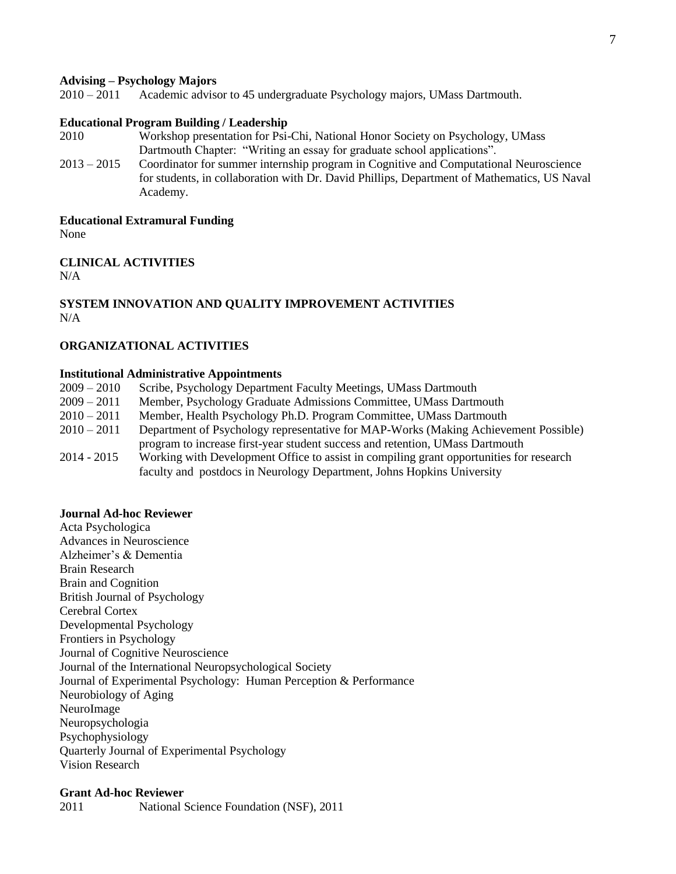#### **Advising – Psychology Majors**

2010 – 2011 Academic advisor to 45 undergraduate Psychology majors, UMass Dartmouth.

### **Educational Program Building / Leadership**

- 2010 Workshop presentation for Psi-Chi, National Honor Society on Psychology, UMass Dartmouth Chapter: "Writing an essay for graduate school applications".
- 2013 2015 Coordinator for summer internship program in Cognitive and Computational Neuroscience for students, in collaboration with Dr. David Phillips, Department of Mathematics, US Naval Academy.

**Educational Extramural Funding**

None

### **CLINICAL ACTIVITIES**  $N/A$

# **SYSTEM INNOVATION AND QUALITY IMPROVEMENT ACTIVITIES** N/A

# **ORGANIZATIONAL ACTIVITIES**

#### **Institutional Administrative Appointments**

| $2009 - 2010$ | Scribe, Psychology Department Faculty Meetings, UMass Dartmouth                         |
|---------------|-----------------------------------------------------------------------------------------|
| $2009 - 2011$ | Member, Psychology Graduate Admissions Committee, UMass Dartmouth                       |
| $2010 - 2011$ | Member, Health Psychology Ph.D. Program Committee, UMass Dartmouth                      |
| $2010 - 2011$ | Department of Psychology representative for MAP-Works (Making Achievement Possible)     |
|               | program to increase first-year student success and retention, UMass Dartmouth           |
| $2014 - 2015$ | Working with Development Office to assist in compiling grant opportunities for research |
|               | faculty and postdocs in Neurology Department, Johns Hopkins University                  |

### **Journal Ad-hoc Reviewer**

Acta Psychologica Advances in Neuroscience Alzheimer's & Dementia Brain Research Brain and Cognition British Journal of Psychology Cerebral Cortex Developmental Psychology Frontiers in Psychology Journal of Cognitive Neuroscience Journal of the International Neuropsychological Society Journal of Experimental Psychology: Human Perception & Performance Neurobiology of Aging NeuroImage Neuropsychologia Psychophysiology Quarterly Journal of Experimental Psychology Vision Research

### **Grant Ad-hoc Reviewer** 2011 National Science Foundation (NSF), 2011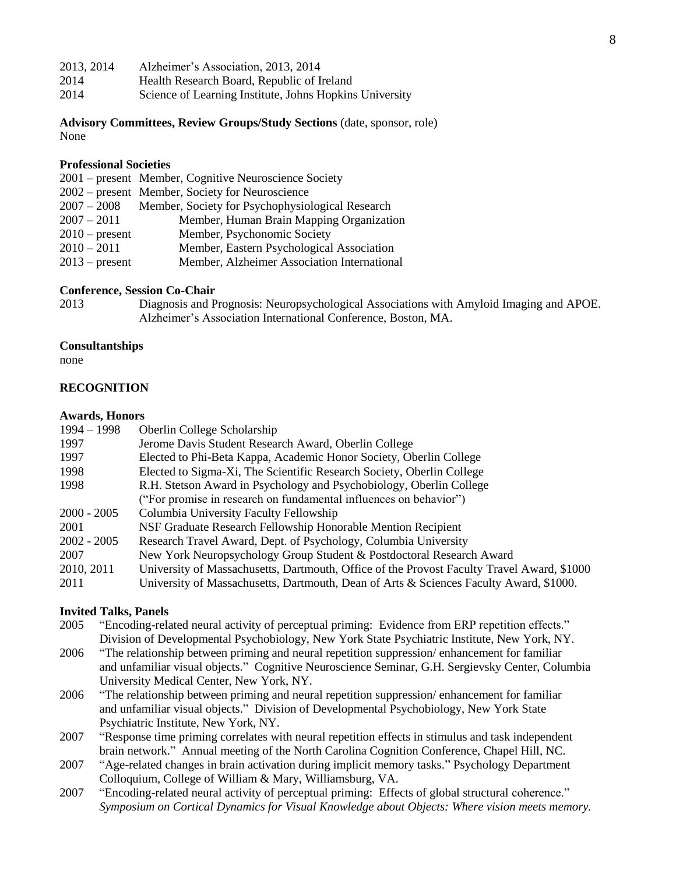| 2013, 2014 | Alzheimer's Association, 2013, 2014                     |
|------------|---------------------------------------------------------|
| 2014       | Health Research Board, Republic of Ireland              |
| 2014       | Science of Learning Institute, Johns Hopkins University |

**Advisory Committees, Review Groups/Study Sections** (date, sponsor, role) None

## **Professional Societies**

|                  | 2001 – present Member, Cognitive Neuroscience Society |
|------------------|-------------------------------------------------------|
|                  | 2002 – present Member, Society for Neuroscience       |
| $2007 - 2008$    | Member, Society for Psychophysiological Research      |
| $2007 - 2011$    | Member, Human Brain Mapping Organization              |
| $2010$ – present | Member, Psychonomic Society                           |
| $2010 - 2011$    | Member, Eastern Psychological Association             |
| $2013$ – present | Member, Alzheimer Association International           |

# **Conference, Session Co-Chair**

2013 Diagnosis and Prognosis: Neuropsychological Associations with Amyloid Imaging and APOE. Alzheimer's Association International Conference, Boston, MA.

### **Consultantships**

none

# **RECOGNITION**

#### **Awards, Honors**

| $1994 - 1998$ | Oberlin College Scholarship                                                                |
|---------------|--------------------------------------------------------------------------------------------|
| 1997          | Jerome Davis Student Research Award, Oberlin College                                       |
| 1997          | Elected to Phi-Beta Kappa, Academic Honor Society, Oberlin College                         |
| 1998          | Elected to Sigma-Xi, The Scientific Research Society, Oberlin College                      |
| 1998          | R.H. Stetson Award in Psychology and Psychobiology, Oberlin College                        |
|               | ("For promise in research on fundamental influences on behavior")                          |
| $2000 - 2005$ | Columbia University Faculty Fellowship                                                     |
| 2001          | NSF Graduate Research Fellowship Honorable Mention Recipient                               |
| $2002 - 2005$ | Research Travel Award, Dept. of Psychology, Columbia University                            |
| 2007          | New York Neuropsychology Group Student & Postdoctoral Research Award                       |
| 2010, 2011    | University of Massachusetts, Dartmouth, Office of the Provost Faculty Travel Award, \$1000 |
| 2011          | University of Massachusetts, Dartmouth, Dean of Arts & Sciences Faculty Award, \$1000.     |

#### **Invited Talks, Panels**

- 2005 "Encoding-related neural activity of perceptual priming: Evidence from ERP repetition effects." Division of Developmental Psychobiology, New York State Psychiatric Institute, New York, NY.
- 2006 "The relationship between priming and neural repetition suppression/ enhancement for familiar and unfamiliar visual objects." Cognitive Neuroscience Seminar, G.H. Sergievsky Center, Columbia University Medical Center, New York, NY.
- 2006 "The relationship between priming and neural repetition suppression/ enhancement for familiar and unfamiliar visual objects." Division of Developmental Psychobiology, New York State Psychiatric Institute, New York, NY.
- 2007 "Response time priming correlates with neural repetition effects in stimulus and task independent brain network." Annual meeting of the North Carolina Cognition Conference, Chapel Hill, NC.
- 2007 "Age-related changes in brain activation during implicit memory tasks." Psychology Department Colloquium, College of William & Mary, Williamsburg, VA.
- 2007 "Encoding-related neural activity of perceptual priming: Effects of global structural coherence." *Symposium on Cortical Dynamics for Visual Knowledge about Objects: Where vision meets memory.*